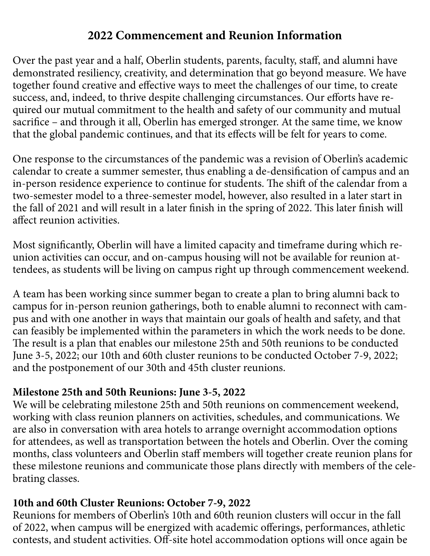## **2022 Commencement and Reunion Information**

Over the past year and a half, Oberlin students, parents, faculty, staff, and alumni have demonstrated resiliency, creativity, and determination that go beyond measure. We have together found creative and efective ways to meet the challenges of our time, to create success, and, indeed, to thrive despite challenging circumstances. Our efforts have required our mutual commitment to the health and safety of our community and mutual sacrifce – and through it all, Oberlin has emerged stronger. At the same time, we know that the global pandemic continues, and that its efects will be felt for years to come.

One response to the circumstances of the pandemic was a revision of Oberlin's academic calendar to create a summer semester, thus enabling a de-densifcation of campus and an in-person residence experience to continue for students. The shift of the calendar from a two-semester model to a three-semester model, however, also resulted in a later start in the fall of 2021 and will result in a later finish in the spring of 2022. This later finish will afect reunion activities.

Most signifcantly, Oberlin will have a limited capacity and timeframe during which reunion activities can occur, and on-campus housing will not be available for reunion attendees, as students will be living on campus right up through commencement weekend.

A team has been working since summer began to create a plan to bring alumni back to campus for in-person reunion gatherings, both to enable alumni to reconnect with campus and with one another in ways that maintain our goals of health and safety, and that can feasibly be implemented within the parameters in which the work needs to be done. The result is a plan that enables our milestone 25th and 50th reunions to be conducted June 3-5, 2022; our 10th and 60th cluster reunions to be conducted October 7-9, 2022; and the postponement of our 30th and 45th cluster reunions.

## **Milestone 25th and 50th Reunions: June 3-5, 2022**

We will be celebrating milestone 25th and 50th reunions on commencement weekend, working with class reunion planners on activities, schedules, and communications. We are also in conversation with area hotels to arrange overnight accommodation options for attendees, as well as transportation between the hotels and Oberlin. Over the coming months, class volunteers and Oberlin staf members will together create reunion plans for these milestone reunions and communicate those plans directly with members of the celebrating classes.

## **10th and 60th Cluster Reunions: October 7-9, 2022**

Reunions for members of Oberlin's 10th and 60th reunion clusters will occur in the fall of 2022, when campus will be energized with academic oferings, performances, athletic contests, and student activities. Off-site hotel accommodation options will once again be